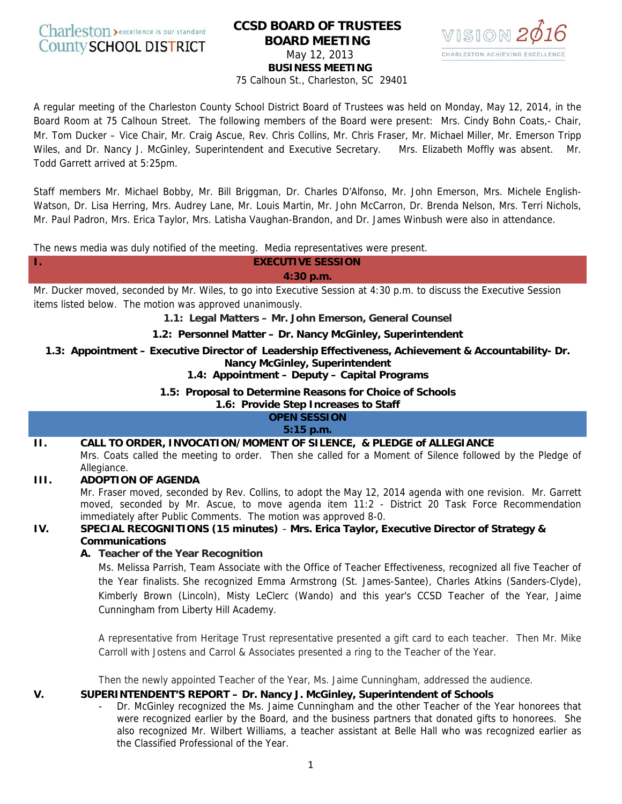

# **CCSD BOARD OF TRUSTEES BOARD MEETING**



May 12, 2013

**BUSINESS MEETING** 

75 Calhoun St., Charleston, SC 29401

A regular meeting of the Charleston County School District Board of Trustees was held on Monday, May 12, 2014, in the Board Room at 75 Calhoun Street. The following members of the Board were present: Mrs. Cindy Bohn Coats,- Chair, Mr. Tom Ducker – Vice Chair, Mr. Craig Ascue, Rev. Chris Collins, Mr. Chris Fraser, Mr. Michael Miller, Mr. Emerson Tripp Wiles, and Dr. Nancy J. McGinley, Superintendent and Executive Secretary. Mrs. Elizabeth Moffly was absent. Mr. Todd Garrett arrived at 5:25pm.

Staff members Mr. Michael Bobby, Mr. Bill Briggman, Dr. Charles D'Alfonso, Mr. John Emerson, Mrs. Michele English-Watson, Dr. Lisa Herring, Mrs. Audrey Lane, Mr. Louis Martin, Mr. John McCarron, Dr. Brenda Nelson, Mrs. Terri Nichols, Mr. Paul Padron, Mrs. Erica Taylor, Mrs. Latisha Vaughan-Brandon, and Dr. James Winbush were also in attendance.

The news media was duly notified of the meeting. Media representatives were present.

**I. EXECUTIVE SESSION 4:30 p.m.**

Mr. Ducker moved, seconded by Mr. Wiles, to go into Executive Session at 4:30 p.m. to discuss the Executive Session items listed below. The motion was approved unanimously.

**1.1: Legal Matters – Mr. John Emerson, General Counsel** 

#### **1.2: Personnel Matter – Dr. Nancy McGinley, Superintendent**

**1.3: Appointment – Executive Director of Leadership Effectiveness, Achievement & Accountability- Dr. Nancy McGinley, Superintendent** 

#### **1.4: Appointment – Deputy – Capital Programs**

**1.5: Proposal to Determine Reasons for Choice of Schools**

**1.6: Provide Step Increases to Staff**

**OPEN SESSION 5:15 p.m.** 

# **II. CALL TO ORDER, INVOCATION/MOMENT OF SILENCE, & PLEDGE of ALLEGIANCE**

Mrs. Coats called the meeting to order. Then she called for a Moment of Silence followed by the Pledge of Allegiance.

## **III. ADOPTION OF AGENDA**

Mr. Fraser moved, seconded by Rev. Collins, to adopt the May 12, 2014 agenda with one revision. Mr. Garrett moved, seconded by Mr. Ascue, to move agenda item 11:2 - District 20 Task Force Recommendation immediately after Public Comments. The motion was approved 8-0.

## **IV. SPECIAL RECOGNITIONS (15 minutes)** – **Mrs. Erica Taylor, Executive Director of Strategy & Communications**

## **A. Teacher of the Year Recognition**

Ms. Melissa Parrish, Team Associate with the Office of Teacher Effectiveness, recognized all five Teacher of the Year finalists. She recognized Emma Armstrong (St. James-Santee), Charles Atkins (Sanders-Clyde), Kimberly Brown (Lincoln), Misty LeClerc (Wando) and this year's CCSD Teacher of the Year, Jaime Cunningham from Liberty Hill Academy.

A representative from Heritage Trust representative presented a gift card to each teacher. Then Mr. Mike Carroll with Jostens and Carrol & Associates presented a ring to the Teacher of the Year.

Then the newly appointed Teacher of the Year, Ms. Jaime Cunningham, addressed the audience.

## **V. SUPERINTENDENT'S REPORT – Dr. Nancy J. McGinley, Superintendent of Schools**

- Dr. McGinley recognized the Ms. Jaime Cunningham and the other Teacher of the Year honorees that were recognized earlier by the Board, and the business partners that donated gifts to honorees. She also recognized Mr. Wilbert Williams, a teacher assistant at Belle Hall who was recognized earlier as the Classified Professional of the Year.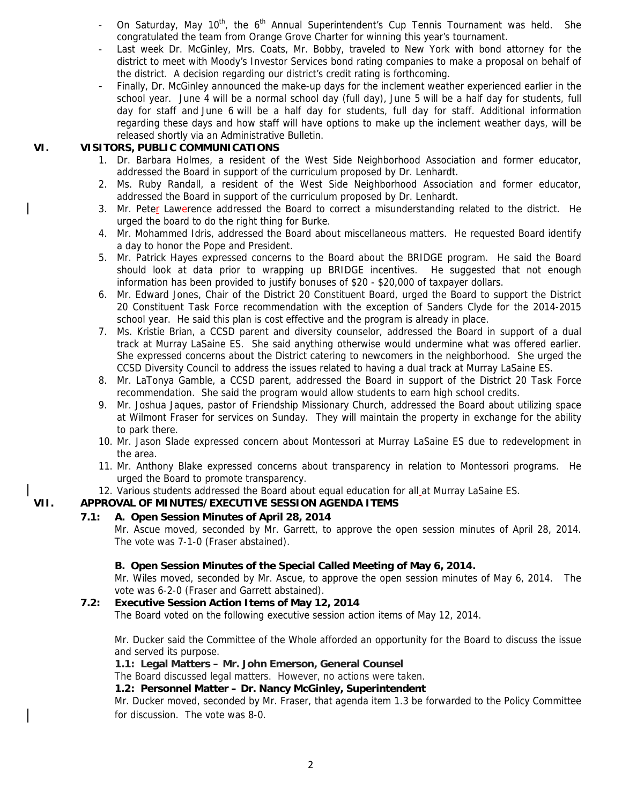- On Saturday, May  $10^{th}$ , the  $6^{th}$  Annual Superintendent's Cup Tennis Tournament was held. She congratulated the team from Orange Grove Charter for winning this year's tournament.
- Last week Dr. McGinley, Mrs. Coats, Mr. Bobby, traveled to New York with bond attorney for the district to meet with Moody's Investor Services bond rating companies to make a proposal on behalf of the district. A decision regarding our district's credit rating is forthcoming.
- Finally, Dr. McGinley announced the make-up days for the inclement weather experienced earlier in the school year. June 4 will be a normal school day (full day), June 5 will be a half day for students, full day for staff and June 6 will be a half day for students, full day for staff. Additional information regarding these days and how staff will have options to make up the inclement weather days, will be released shortly via an Administrative Bulletin.

#### **VI. VISITORS, PUBLIC COMMUNICATIONS**

- 1. Dr. Barbara Holmes, a resident of the West Side Neighborhood Association and former educator, addressed the Board in support of the curriculum proposed by Dr. Lenhardt.
- 2. Ms. Ruby Randall, a resident of the West Side Neighborhood Association and former educator, addressed the Board in support of the curriculum proposed by Dr. Lenhardt.
- 3. Mr. Peter Lawerence addressed the Board to correct a misunderstanding related to the district. He urged the board to do the right thing for Burke.
- 4. Mr. Mohammed Idris, addressed the Board about miscellaneous matters. He requested Board identify a day to honor the Pope and President.
- 5. Mr. Patrick Hayes expressed concerns to the Board about the BRIDGE program. He said the Board should look at data prior to wrapping up BRIDGE incentives. He suggested that not enough information has been provided to justify bonuses of \$20 - \$20,000 of taxpayer dollars.
- 6. Mr. Edward Jones, Chair of the District 20 Constituent Board, urged the Board to support the District 20 Constituent Task Force recommendation with the exception of Sanders Clyde for the 2014-2015 school year. He said this plan is cost effective and the program is already in place.
- 7. Ms. Kristie Brian, a CCSD parent and diversity counselor, addressed the Board in support of a dual track at Murray LaSaine ES. She said anything otherwise would undermine what was offered earlier. She expressed concerns about the District catering to newcomers in the neighborhood. She urged the CCSD Diversity Council to address the issues related to having a dual track at Murray LaSaine ES.
- 8. Mr. LaTonya Gamble, a CCSD parent, addressed the Board in support of the District 20 Task Force recommendation. She said the program would allow students to earn high school credits.
- 9. Mr. Joshua Jaques, pastor of Friendship Missionary Church, addressed the Board about utilizing space at Wilmont Fraser for services on Sunday. They will maintain the property in exchange for the ability to park there.
- 10. Mr. Jason Slade expressed concern about Montessori at Murray LaSaine ES due to redevelopment in the area.
- 11. Mr. Anthony Blake expressed concerns about transparency in relation to Montessori programs. He urged the Board to promote transparency.
- 12. Various students addressed the Board about equal education for all at Murray LaSaine ES.

## **VII. APPROVAL OF MINUTES/EXECUTIVE SESSION AGENDA ITEMS**

## **7.1: A. Open Session Minutes of April 28, 2014**

Mr. Ascue moved, seconded by Mr. Garrett, to approve the open session minutes of April 28, 2014. The vote was 7-1-0 (Fraser abstained).

## **B. Open Session Minutes of the Special Called Meeting of May 6, 2014.**

Mr. Wiles moved, seconded by Mr. Ascue, to approve the open session minutes of May 6, 2014. The vote was 6-2-0 (Fraser and Garrett abstained).

## **7.2: Executive Session Action Items of May 12, 2014**

The Board voted on the following executive session action items of May 12, 2014.

Mr. Ducker said the Committee of the Whole afforded an opportunity for the Board to discuss the issue and served its purpose.

#### **1.1: Legal Matters – Mr. John Emerson, General Counsel**

The Board discussed legal matters. However, no actions were taken.

#### **1.2: Personnel Matter – Dr. Nancy McGinley, Superintendent**

Mr. Ducker moved, seconded by Mr. Fraser, that agenda item 1.3 be forwarded to the Policy Committee for discussion. The vote was 8-0.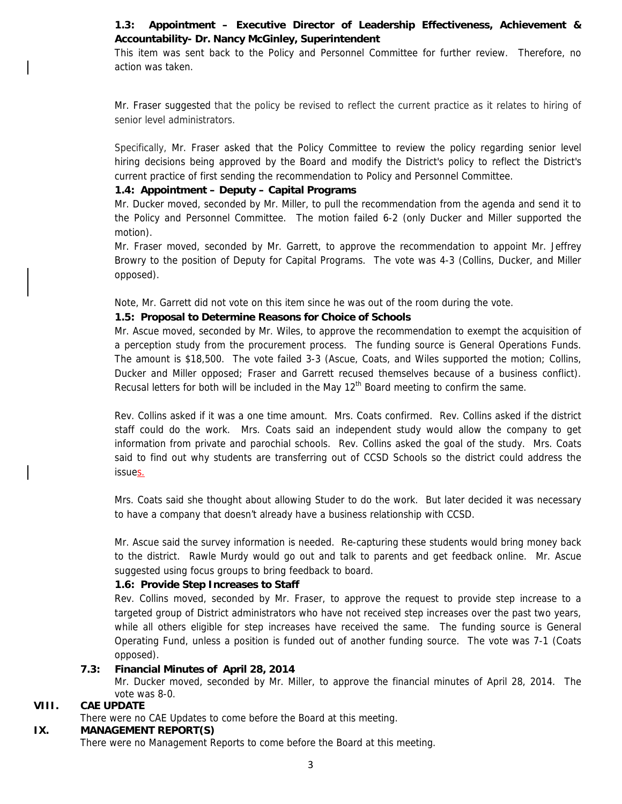# **1.3: Appointment – Executive Director of Leadership Effectiveness, Achievement & Accountability- Dr. Nancy McGinley, Superintendent**

This item was sent back to the Policy and Personnel Committee for further review. Therefore, no action was taken.

Mr. Fraser suggested that the policy be revised to reflect the current practice as it relates to hiring of senior level administrators.

Specifically, Mr. Fraser asked that the Policy Committee to review the policy regarding senior level hiring decisions being approved by the Board and modify the District's policy to reflect the District's current practice of first sending the recommendation to Policy and Personnel Committee.

## **1.4: Appointment – Deputy – Capital Programs**

Mr. Ducker moved, seconded by Mr. Miller, to pull the recommendation from the agenda and send it to the Policy and Personnel Committee. The motion failed 6-2 (only Ducker and Miller supported the motion).

Mr. Fraser moved, seconded by Mr. Garrett, to approve the recommendation to appoint Mr. Jeffrey Browry to the position of Deputy for Capital Programs. The vote was 4-3 (Collins, Ducker, and Miller opposed).

Note, Mr. Garrett did not vote on this item since he was out of the room during the vote.

# **1.5: Proposal to Determine Reasons for Choice of Schools**

Mr. Ascue moved, seconded by Mr. Wiles, to approve the recommendation to exempt the acquisition of a perception study from the procurement process. The funding source is General Operations Funds. The amount is \$18,500. The vote failed 3-3 (Ascue, Coats, and Wiles supported the motion; Collins, Ducker and Miller opposed; Fraser and Garrett recused themselves because of a business conflict). Recusal letters for both will be included in the May  $12<sup>th</sup>$  Board meeting to confirm the same.

Rev. Collins asked if it was a one time amount. Mrs. Coats confirmed. Rev. Collins asked if the district staff could do the work. Mrs. Coats said an independent study would allow the company to get information from private and parochial schools. Rev. Collins asked the goal of the study. Mrs. Coats said to find out why students are transferring out of CCSD Schools so the district could address the issues.

Mrs. Coats said she thought about allowing Studer to do the work. But later decided it was necessary to have a company that doesn't already have a business relationship with CCSD.

Mr. Ascue said the survey information is needed. Re-capturing these students would bring money back to the district. Rawle Murdy would go out and talk to parents and get feedback online. Mr. Ascue suggested using focus groups to bring feedback to board.

## **1.6: Provide Step Increases to Staff**

Rev. Collins moved, seconded by Mr. Fraser, to approve the request to provide step increase to a targeted group of District administrators who have not received step increases over the past two years, while all others eligible for step increases have received the same. The funding source is General Operating Fund, unless a position is funded out of another funding source. The vote was 7-1 (Coats opposed).

## **7.3: Financial Minutes of April 28, 2014**

Mr. Ducker moved, seconded by Mr. Miller, to approve the financial minutes of April 28, 2014. The vote was 8-0.

## **VIII. CAE UPDATE**

There were no CAE Updates to come before the Board at this meeting.

# **IX. MANAGEMENT REPORT(S)**

There were no Management Reports to come before the Board at this meeting.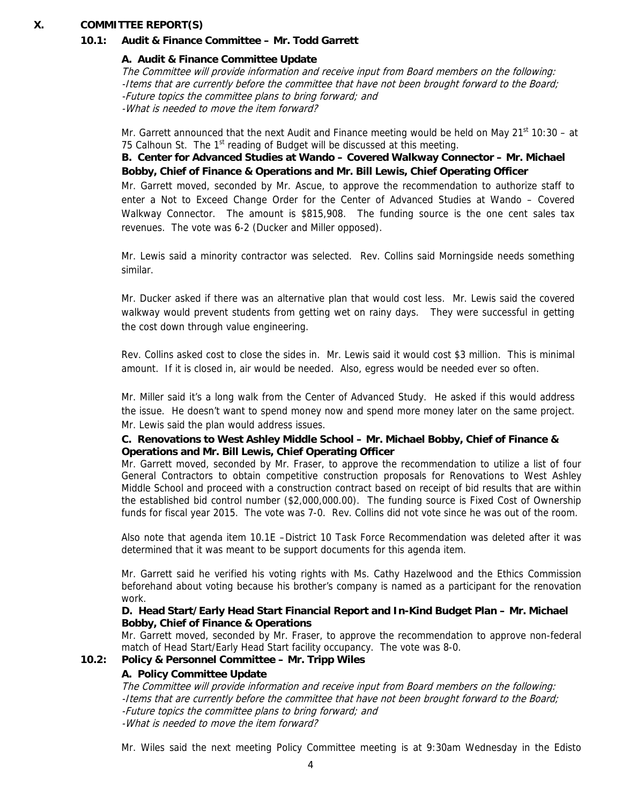#### **X. COMMITTEE REPORT(S)**

#### **10.1: Audit & Finance Committee – Mr. Todd Garrett**

#### **A. Audit & Finance Committee Update**

The Committee will provide information and receive input from Board members on the following: -Items that are currently before the committee that have not been brought forward to the Board; -Future topics the committee plans to bring forward; and -What is needed to move the item forward?

Mr. Garrett announced that the next Audit and Finance meeting would be held on May  $21^{st}$  10:30 – at 75 Calhoun St. The 1<sup>st</sup> reading of Budget will be discussed at this meeting.

 **B. Center for Advanced Studies at Wando – Covered Walkway Connector – Mr. Michael Bobby, Chief of Finance & Operations and Mr. Bill Lewis, Chief Operating Officer**  Mr. Garrett moved, seconded by Mr. Ascue, to approve the recommendation to authorize staff to enter a Not to Exceed Change Order for the Center of Advanced Studies at Wando – Covered Walkway Connector. The amount is \$815,908. The funding source is the one cent sales tax revenues. The vote was 6-2 (Ducker and Miller opposed).

Mr. Lewis said a minority contractor was selected. Rev. Collins said Morningside needs something similar.

Mr. Ducker asked if there was an alternative plan that would cost less. Mr. Lewis said the covered walkway would prevent students from getting wet on rainy days. They were successful in getting the cost down through value engineering.

Rev. Collins asked cost to close the sides in. Mr. Lewis said it would cost \$3 million. This is minimal amount. If it is closed in, air would be needed. Also, egress would be needed ever so often.

Mr. Miller said it's a long walk from the Center of Advanced Study. He asked if this would address the issue. He doesn't want to spend money now and spend more money later on the same project. Mr. Lewis said the plan would address issues.

#### **C. Renovations to West Ashley Middle School – Mr. Michael Bobby, Chief of Finance & Operations and Mr. Bill Lewis, Chief Operating Officer**

Mr. Garrett moved, seconded by Mr. Fraser, to approve the recommendation to utilize a list of four General Contractors to obtain competitive construction proposals for Renovations to West Ashley Middle School and proceed with a construction contract based on receipt of bid results that are within the established bid control number (\$2,000,000.00). The funding source is Fixed Cost of Ownership funds for fiscal year 2015. The vote was 7-0. Rev. Collins did not vote since he was out of the room.

Also note that agenda item 10.1E –District 10 Task Force Recommendation was deleted after it was determined that it was meant to be support documents for this agenda item.

Mr. Garrett said he verified his voting rights with Ms. Cathy Hazelwood and the Ethics Commission beforehand about voting because his brother's company is named as a participant for the renovation work.

#### **D. Head Start/Early Head Start Financial Report and In-Kind Budget Plan – Mr. Michael Bobby, Chief of Finance & Operations**

Mr. Garrett moved, seconded by Mr. Fraser, to approve the recommendation to approve non-federal match of Head Start/Early Head Start facility occupancy. The vote was 8-0.

#### **10.2: Policy & Personnel Committee – Mr. Tripp Wiles**

## **A. Policy Committee Update**

The Committee will provide information and receive input from Board members on the following: -Items that are currently before the committee that have not been brought forward to the Board; -Future topics the committee plans to bring forward; and -What is needed to move the item forward?

Mr. Wiles said the next meeting Policy Committee meeting is at 9:30am Wednesday in the Edisto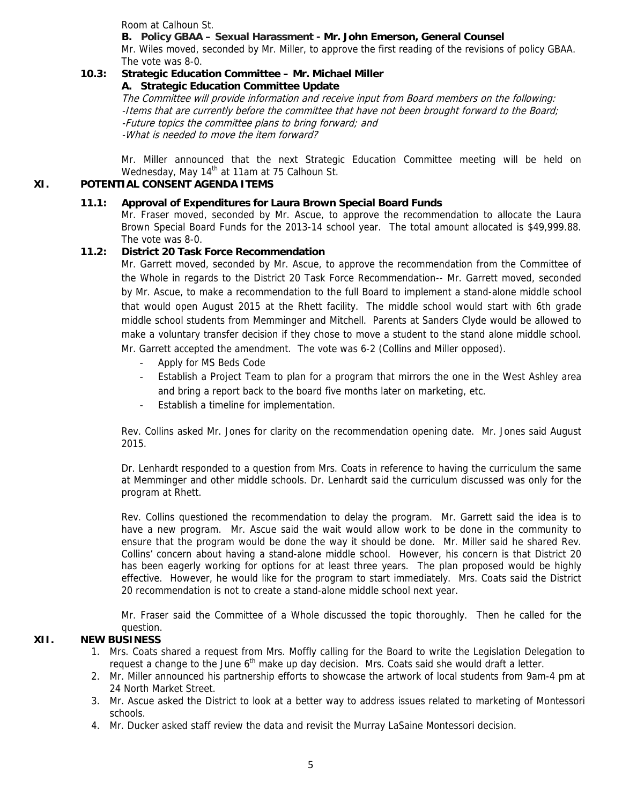Room at Calhoun St.

## **B. Policy GBAA – Sexual Harassment - Mr. John Emerson, General Counsel**

Mr. Wiles moved, seconded by Mr. Miller, to approve the first reading of the revisions of policy GBAA. The vote was 8-0.

# **10.3: Strategic Education Committee – Mr. Michael Miller**

 **A. Strategic Education Committee Update**

The Committee will provide information and receive input from Board members on the following: -Items that are currently before the committee that have not been brought forward to the Board; -Future topics the committee plans to bring forward; and -What is needed to move the item forward?

Mr. Miller announced that the next Strategic Education Committee meeting will be held on Wednesday, May 14<sup>th</sup> at 11am at 75 Calhoun St.

# **XI. POTENTIAL CONSENT AGENDA ITEMS**

## **11.1: Approval of Expenditures for Laura Brown Special Board Funds**

Mr. Fraser moved, seconded by Mr. Ascue, to approve the recommendation to allocate the Laura Brown Special Board Funds for the 2013-14 school year. The total amount allocated is \$49,999.88. The vote was 8-0.

# **11.2: District 20 Task Force Recommendation**

Mr. Garrett moved, seconded by Mr. Ascue, to approve the recommendation from the Committee of the Whole in regards to the District 20 Task Force Recommendation-- Mr. Garrett moved, seconded by Mr. Ascue, to make a recommendation to the full Board to implement a stand-alone middle school that would open August 2015 at the Rhett facility. The middle school would start with 6th grade middle school students from Memminger and Mitchell. Parents at Sanders Clyde would be allowed to make a voluntary transfer decision if they chose to move a student to the stand alone middle school. Mr. Garrett accepted the amendment. The vote was 6-2 (Collins and Miller opposed).

- Apply for MS Beds Code
- Establish a Project Team to plan for a program that mirrors the one in the West Ashley area and bring a report back to the board five months later on marketing, etc.
- Establish a timeline for implementation.

Rev. Collins asked Mr. Jones for clarity on the recommendation opening date. Mr. Jones said August 2015.

Dr. Lenhardt responded to a question from Mrs. Coats in reference to having the curriculum the same at Memminger and other middle schools. Dr. Lenhardt said the curriculum discussed was only for the program at Rhett.

Rev. Collins questioned the recommendation to delay the program. Mr. Garrett said the idea is to have a new program. Mr. Ascue said the wait would allow work to be done in the community to ensure that the program would be done the way it should be done. Mr. Miller said he shared Rev. Collins' concern about having a stand-alone middle school. However, his concern is that District 20 has been eagerly working for options for at least three years. The plan proposed would be highly effective. However, he would like for the program to start immediately. Mrs. Coats said the District 20 recommendation is not to create a stand-alone middle school next year.

Mr. Fraser said the Committee of a Whole discussed the topic thoroughly. Then he called for the question.

# **XII. NEW BUSINESS**

- 1. Mrs. Coats shared a request from Mrs. Moffly calling for the Board to write the Legislation Delegation to request a change to the June  $6<sup>th</sup>$  make up day decision. Mrs. Coats said she would draft a letter.
- 2. Mr. Miller announced his partnership efforts to showcase the artwork of local students from 9am-4 pm at 24 North Market Street.
- 3. Mr. Ascue asked the District to look at a better way to address issues related to marketing of Montessori schools.
- 4. Mr. Ducker asked staff review the data and revisit the Murray LaSaine Montessori decision.